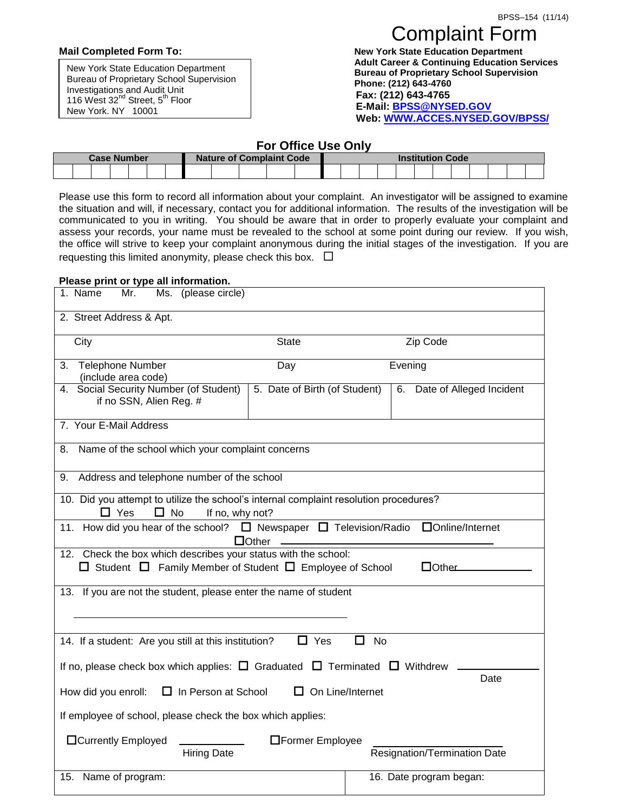New York State Education Department Bureau of Proprietary School Supervision Investigations and Audit Unit 116 West 32<sup>nd</sup> Street, 5<sup>th</sup> Floor New York, NY 10001

## Complaint Form

**Mail Completed Form To: New York State Education Department Adult Career & Continuing Education Services Bureau of Proprietary School Supervision Phone: (212) 643-4760 Fax: (212) 643-4765 E-Mail[: BPSS@NYSED.GOV](mailto:BPSS@NYSED.GOV) Web: [WWW.ACCES.NYSED.GOV/BPSS/](http://www.acces.nysed.gov/BPSS/)**

## **For Office Use Only**

| <b>Case Number</b> | <b>Nature of Complaint Code</b> | <b>Institution Code</b> |
|--------------------|---------------------------------|-------------------------|
|                    |                                 |                         |

Please use this form to record all information about your complaint. An investigator will be assigned to examine the situation and will, if necessary, contact you for additional information. The results of the investigation will be communicated to you in writing. You should be aware that in order to properly evaluate your complaint and assess your records, your name must be revealed to the school at some point during our review. If you wish, the office will strive to keep your complaint anonymous during the initial stages of the investigation. If you are requesting this limited anonymity, please check this box.  $\Box$ 

## **Please print or type all information.**

| 1. Name<br>Ms. (please circle)<br>Mr.                                                                                                                      |                               |                                |  |  |
|------------------------------------------------------------------------------------------------------------------------------------------------------------|-------------------------------|--------------------------------|--|--|
| 2. Street Address & Apt.                                                                                                                                   |                               |                                |  |  |
| City                                                                                                                                                       | <b>State</b>                  | Zip Code                       |  |  |
| 3. Telephone Number<br>(include area code)                                                                                                                 | Day                           | Evening                        |  |  |
| 4. Social Security Number (of Student)<br>if no SSN, Alien Reg. #                                                                                          | 5. Date of Birth (of Student) | Date of Alleged Incident<br>6. |  |  |
| 7. Your E-Mail Address                                                                                                                                     |                               |                                |  |  |
| Name of the school which your complaint concerns<br>8.                                                                                                     |                               |                                |  |  |
| 9. Address and telephone number of the school                                                                                                              |                               |                                |  |  |
| 10. Did you attempt to utilize the school's internal complaint resolution procedures?<br>$\Box$ No<br>$\Box$ Yes<br>If no, why not?                        |                               |                                |  |  |
| 11. How did you hear of the school? $\Box$ Newspaper $\Box$ Television/Radio<br>□Online/Internet<br>$\Box$ Other                                           |                               |                                |  |  |
| 12. Check the box which describes your status with the school:<br>$\Box$ Student $\Box$ Family Member of Student $\Box$ Employee of School<br>$\Box$ Other |                               |                                |  |  |
| 13. If you are not the student, please enter the name of student                                                                                           |                               |                                |  |  |
|                                                                                                                                                            |                               |                                |  |  |
| $\Box$ Yes<br>П<br>No<br>14. If a student: Are you still at this institution?                                                                              |                               |                                |  |  |
| If no, please check box which applies: $\Box$ Graduated $\Box$ Terminated $\Box$ Withdrew<br>Date                                                          |                               |                                |  |  |
| On Line/Internet<br>How did you enroll:<br>$\Box$ In Person at School                                                                                      |                               |                                |  |  |
| If employee of school, please check the box which applies:                                                                                                 |                               |                                |  |  |
| <b>O</b> Currently Employed<br><b>O</b> Former Employee<br>Resignation/Termination Date<br><b>Hiring Date</b>                                              |                               |                                |  |  |
| 15. Name of program:                                                                                                                                       |                               | 16. Date program began:        |  |  |